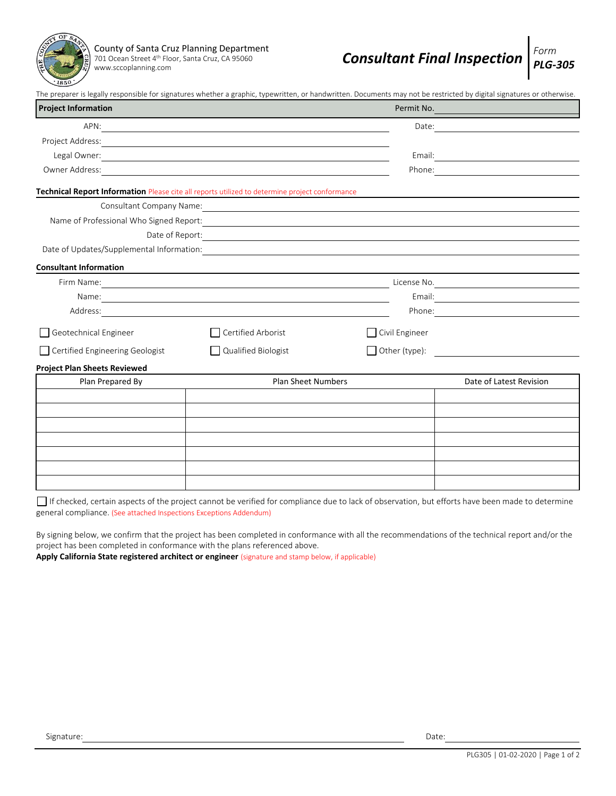

| <b>Project Information</b>                                                                                                                                                                                                     |                                                                                                                                                                                                                                      |                | Permit No.                                                                                                    |
|--------------------------------------------------------------------------------------------------------------------------------------------------------------------------------------------------------------------------------|--------------------------------------------------------------------------------------------------------------------------------------------------------------------------------------------------------------------------------------|----------------|---------------------------------------------------------------------------------------------------------------|
| APN:                                                                                                                                                                                                                           | <u> 1989 - Johann Stoff, amerikansk politiker (d. 1989)</u>                                                                                                                                                                          |                | Date: $\qquad \qquad$                                                                                         |
| Project Address: New York Changes and Separate Changes and Separate Changes and Separate Changes and Separate Changes and Separate Changes and Separate Changes and Separate Changes and Separate Changes and Separate Changes |                                                                                                                                                                                                                                      |                |                                                                                                               |
|                                                                                                                                                                                                                                |                                                                                                                                                                                                                                      |                |                                                                                                               |
|                                                                                                                                                                                                                                |                                                                                                                                                                                                                                      |                | Phone: 2008 2010 2010 2010 2010 2011 2021 2022 2023 2024 2022 2023 2024 2022 2023 2024 2022 2023 2024 2025 20 |
| Technical Report Information Please cite all reports utilized to determine project conformance                                                                                                                                 |                                                                                                                                                                                                                                      |                |                                                                                                               |
|                                                                                                                                                                                                                                | Consultant Company Name: Consultant Company Name:                                                                                                                                                                                    |                |                                                                                                               |
|                                                                                                                                                                                                                                |                                                                                                                                                                                                                                      |                |                                                                                                               |
|                                                                                                                                                                                                                                | Date of Report:                                                                                                                                                                                                                      |                |                                                                                                               |
|                                                                                                                                                                                                                                |                                                                                                                                                                                                                                      |                |                                                                                                               |
| <b>Consultant Information</b>                                                                                                                                                                                                  |                                                                                                                                                                                                                                      |                |                                                                                                               |
| Firm Name:                                                                                                                                                                                                                     | <u> 1989 - Johann Stoff, Amerikaansk politiker († 1908)</u>                                                                                                                                                                          |                |                                                                                                               |
|                                                                                                                                                                                                                                | Name: <u>contract and contract and contract and contract and contract and contract and contract and contract and contract and contract and contract and contract and contract and contract and contract and contract and contrac</u> |                |                                                                                                               |
|                                                                                                                                                                                                                                |                                                                                                                                                                                                                                      |                |                                                                                                               |
| Geotechnical Engineer                                                                                                                                                                                                          | Certified Arborist                                                                                                                                                                                                                   | Civil Engineer |                                                                                                               |
| Certified Engineering Geologist                                                                                                                                                                                                | Qualified Biologist                                                                                                                                                                                                                  |                |                                                                                                               |
| <b>Project Plan Sheets Reviewed</b>                                                                                                                                                                                            |                                                                                                                                                                                                                                      |                |                                                                                                               |
| Plan Prepared By                                                                                                                                                                                                               | <b>Plan Sheet Numbers</b>                                                                                                                                                                                                            |                | Date of Latest Revision                                                                                       |
|                                                                                                                                                                                                                                |                                                                                                                                                                                                                                      |                |                                                                                                               |
|                                                                                                                                                                                                                                |                                                                                                                                                                                                                                      |                |                                                                                                               |
|                                                                                                                                                                                                                                |                                                                                                                                                                                                                                      |                |                                                                                                               |
|                                                                                                                                                                                                                                |                                                                                                                                                                                                                                      |                |                                                                                                               |
|                                                                                                                                                                                                                                |                                                                                                                                                                                                                                      |                |                                                                                                               |
|                                                                                                                                                                                                                                |                                                                                                                                                                                                                                      |                |                                                                                                               |
|                                                                                                                                                                                                                                |                                                                                                                                                                                                                                      |                |                                                                                                               |

 If checked, certain aspects of the project cannot be verified for compliance due to lack of observation, but efforts have been made to determine general compliance. (See attached Inspections Exceptions Addendum)

By signing below, we confirm that the project has been completed in conformance with all the recommendations of the technical report and/or the project has been completed in conformance with the plans referenced above.

**Apply California State registered architect or engineer** (signature and stamp below, if applicable)